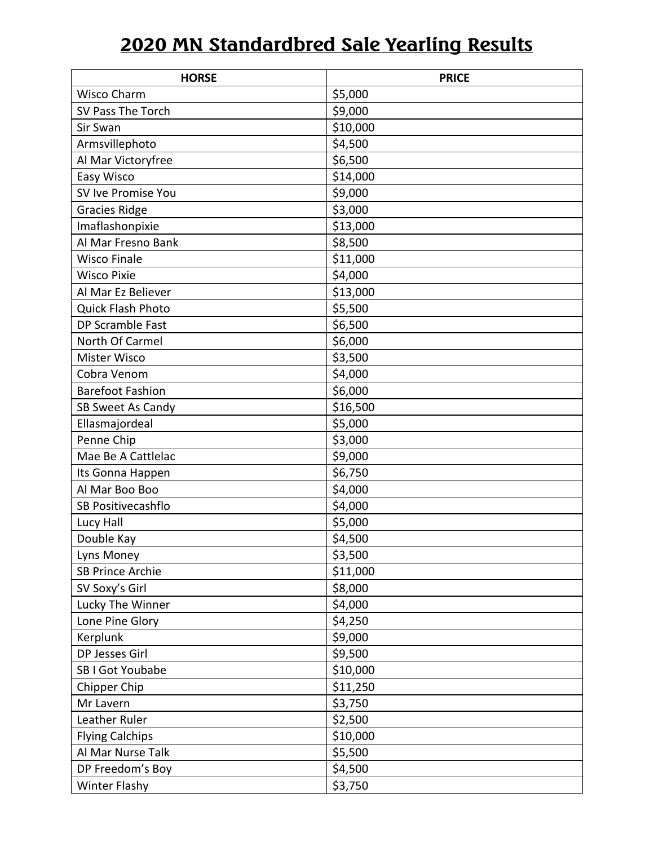## **2020 MN Standardbred Sale Yearling Results**

| <b>HORSE</b>            | <b>PRICE</b> |
|-------------------------|--------------|
| Wisco Charm             | \$5,000      |
| SV Pass The Torch       | \$9,000      |
| Sir Swan                | \$10,000     |
| Armsvillephoto          | \$4,500      |
| Al Mar Victoryfree      | \$6,500      |
| Easy Wisco              | \$14,000     |
| SV Ive Promise You      | \$9,000      |
| <b>Gracies Ridge</b>    | \$3,000      |
| Imaflashonpixie         | \$13,000     |
| Al Mar Fresno Bank      | \$8,500      |
| <b>Wisco Finale</b>     | \$11,000     |
| <b>Wisco Pixie</b>      | \$4,000      |
| Al Mar Ez Believer      | \$13,000     |
| Quick Flash Photo       | \$5,500      |
| DP Scramble Fast        | \$6,500      |
| North Of Carmel         | \$6,000      |
| Mister Wisco            | \$3,500      |
| Cobra Venom             | \$4,000      |
| <b>Barefoot Fashion</b> | \$6,000      |
| SB Sweet As Candy       | \$16,500     |
| Ellasmajordeal          | \$5,000      |
| Penne Chip              | \$3,000      |
| Mae Be A Cattlelac      | \$9,000      |
| Its Gonna Happen        | \$6,750      |
| Al Mar Boo Boo          | \$4,000      |
| SB Positivecashflo      | \$4,000      |
| Lucy Hall               | \$5,000      |
| Double Kay              | \$4,500      |
| Lyns Money              | \$3,500      |
| <b>SB Prince Archie</b> | \$11,000     |
| SV Soxy's Girl          | \$8,000      |
| Lucky The Winner        | \$4,000      |
| Lone Pine Glory         | \$4,250      |
| Kerplunk                | \$9,000      |
| DP Jesses Girl          | \$9,500      |
| SB I Got Youbabe        | \$10,000     |
| Chipper Chip            | \$11,250     |
| Mr Lavern               | \$3,750      |
| Leather Ruler           | \$2,500      |
| <b>Flying Calchips</b>  | \$10,000     |
| Al Mar Nurse Talk       | \$5,500      |
| DP Freedom's Boy        | \$4,500      |
| <b>Winter Flashy</b>    | \$3,750      |